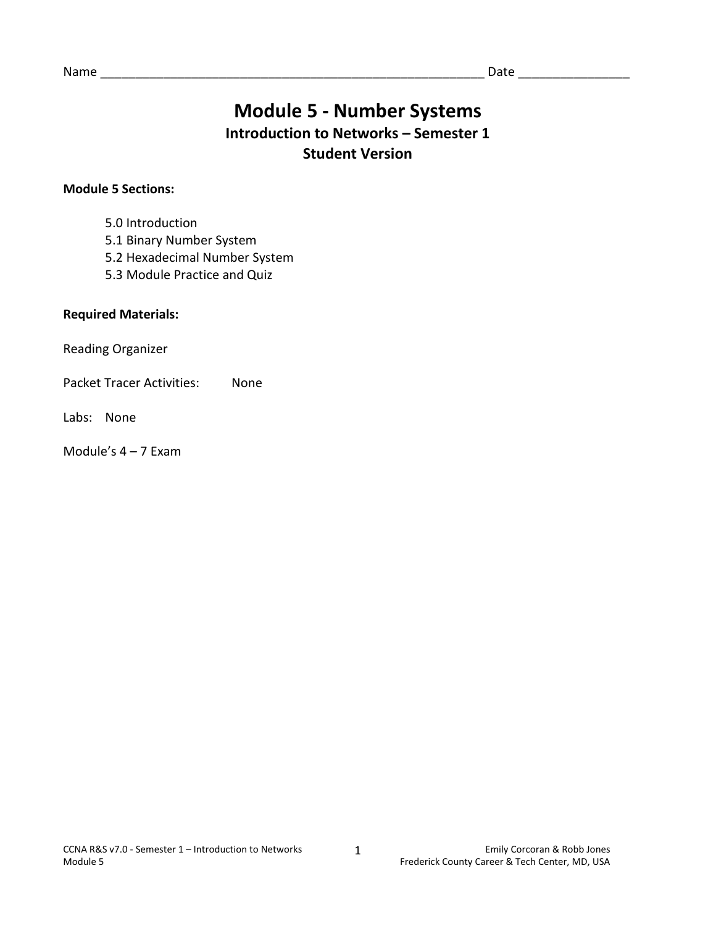# **Module 5 - Number Systems Introduction to Networks – Semester 1 Student Version**

## **Module 5 Sections:**

- 5.0 Introduction
- 5.1 Binary Number System
- 5.2 Hexadecimal Number System
- 5.3 Module Practice and Quiz

### **Required Materials:**

Reading Organizer

Packet Tracer Activities: None

- Labs: None
- Module's  $4 7$  Exam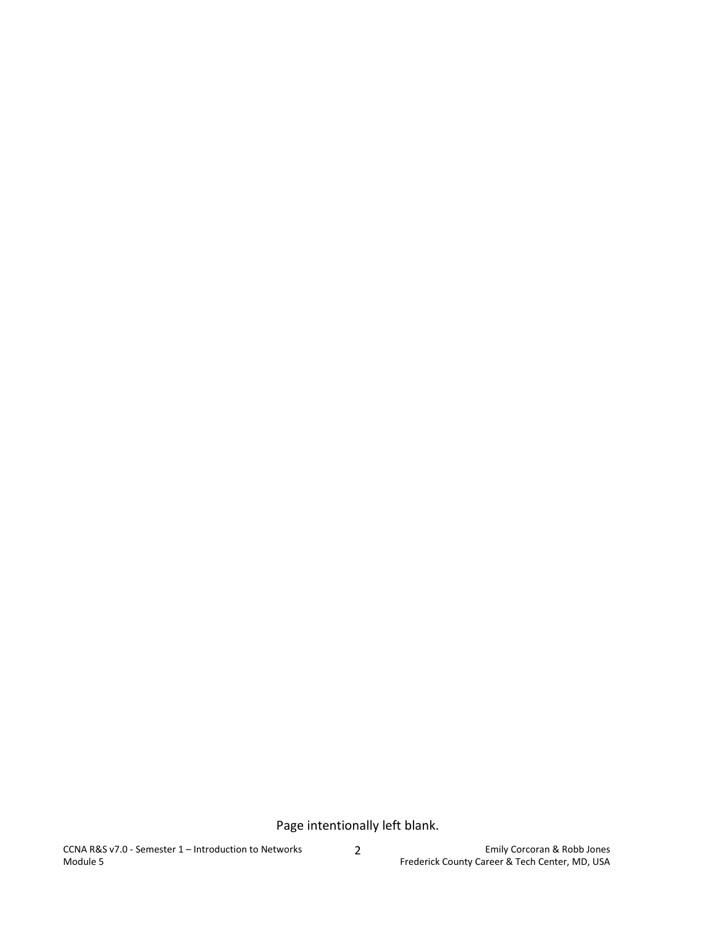Page intentionally left blank.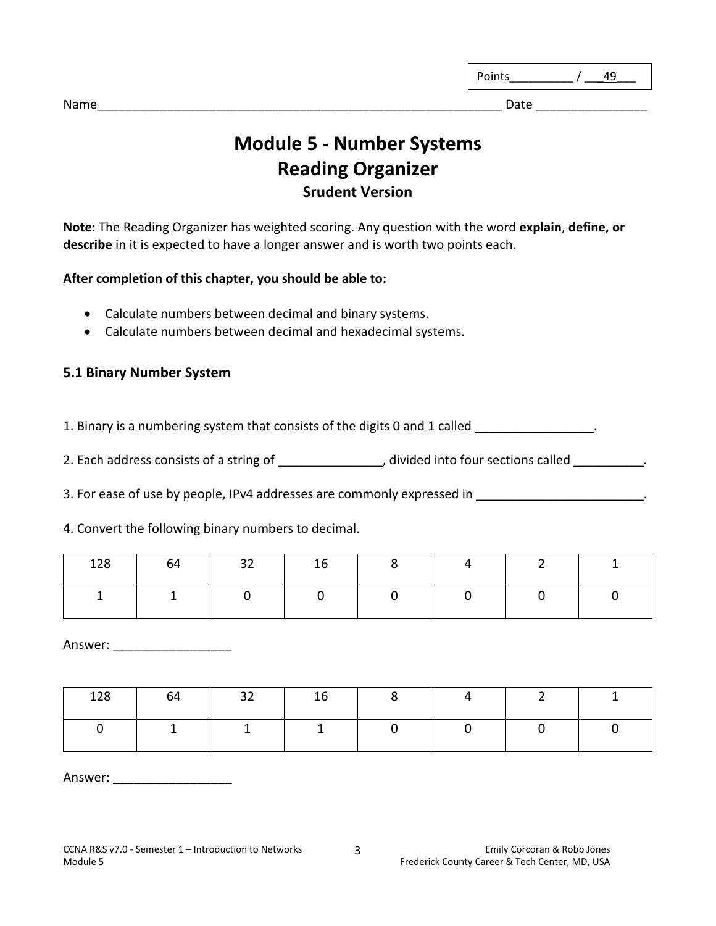| Points |
|--------|
|--------|

# **Module 5 - Number Systems Reading Organizer Srudent Version**

**Note**: The Reading Organizer has weighted scoring. Any question with the word **explain**, **define, or describe** in it is expected to have a longer answer and is worth two points each.

## **After completion of this chapter, you should be able to:**

- Calculate numbers between decimal and binary systems.
- Calculate numbers between decimal and hexadecimal systems.

# **5.1 Binary Number System**

1. Binary is a numbering system that consists of the digits 0 and 1 called \_\_\_\_\_\_\_\_\_\_\_\_\_\_\_\_.

2. Each address consists of a string of \_\_\_\_\_\_\_\_\_\_\_\_\_\_\_, divided into four sections called \_\_\_\_\_\_\_\_\_\_\_.

3. For ease of use by people, IPv4 addresses are commonly expressed in \_\_\_\_\_\_\_\_\_\_\_\_\_\_\_\_\_\_\_\_\_\_\_\_\_.

## 4. Convert the following binary numbers to decimal.

| 128 | 64 | 32 | 16 |  |  |
|-----|----|----|----|--|--|
|     |    |    |    |  |  |

Answer:

| 1 7 0<br>TYO | 64 | ລາ<br>ັ | Τp |  |  |
|--------------|----|---------|----|--|--|
|              |    |         |    |  |  |

Answer: \_\_\_\_\_\_\_\_\_\_\_\_\_\_\_\_\_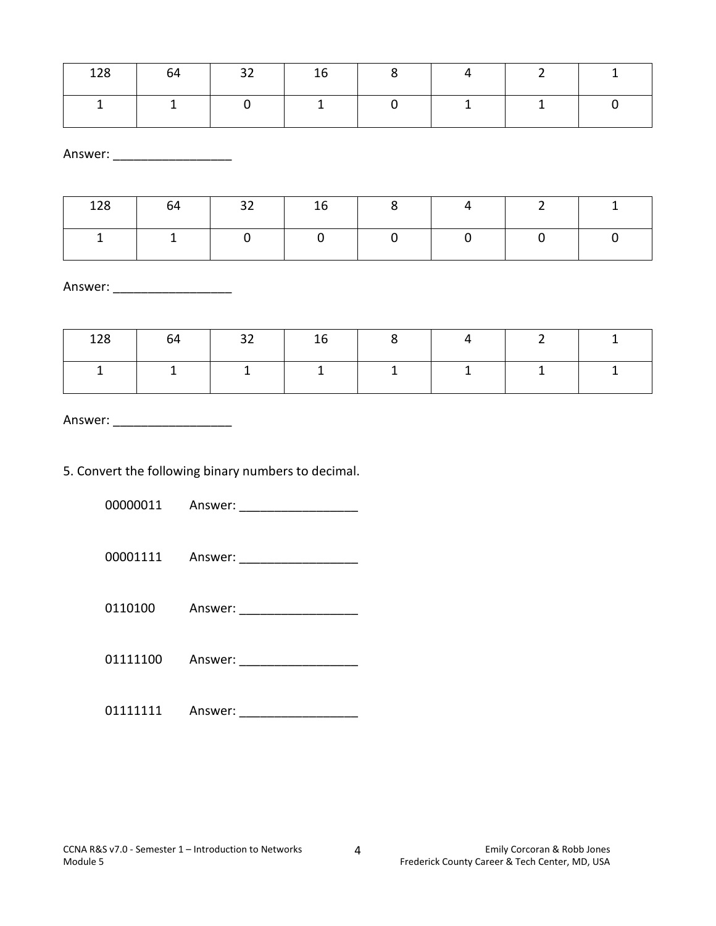| 128 | 64 | 32 | 16 |   | $\overline{\phantom{0}}$ |  |
|-----|----|----|----|---|--------------------------|--|
|     |    |    |    | - |                          |  |

Answer: \_\_\_\_\_\_\_\_\_\_\_\_\_\_\_\_\_

| 128 | 64 | 32 | 16 |  | $\overline{\phantom{0}}$ |  |
|-----|----|----|----|--|--------------------------|--|
|     |    |    |    |  |                          |  |

Answer: \_\_\_\_\_\_\_\_\_\_\_\_\_\_\_\_\_\_\_\_\_\_\_

| 128 | 64 | 32 | 16 |  |  |
|-----|----|----|----|--|--|
|     |    |    |    |  |  |

Answer: \_\_\_\_\_\_\_\_\_\_\_\_\_\_\_\_\_\_\_\_\_\_\_

5. Convert the following binary numbers to decimal.

| 00000011 | Answer: |  |
|----------|---------|--|
|          |         |  |

Answer: \_\_\_\_\_\_\_\_\_\_\_\_\_\_\_\_\_

Answer: \_\_\_\_\_\_\_\_\_\_\_\_\_\_\_\_\_

Answer: \_\_\_\_\_\_\_\_\_\_\_\_\_\_\_\_\_

Answer: \_\_\_\_\_\_\_\_\_\_\_\_\_\_\_\_\_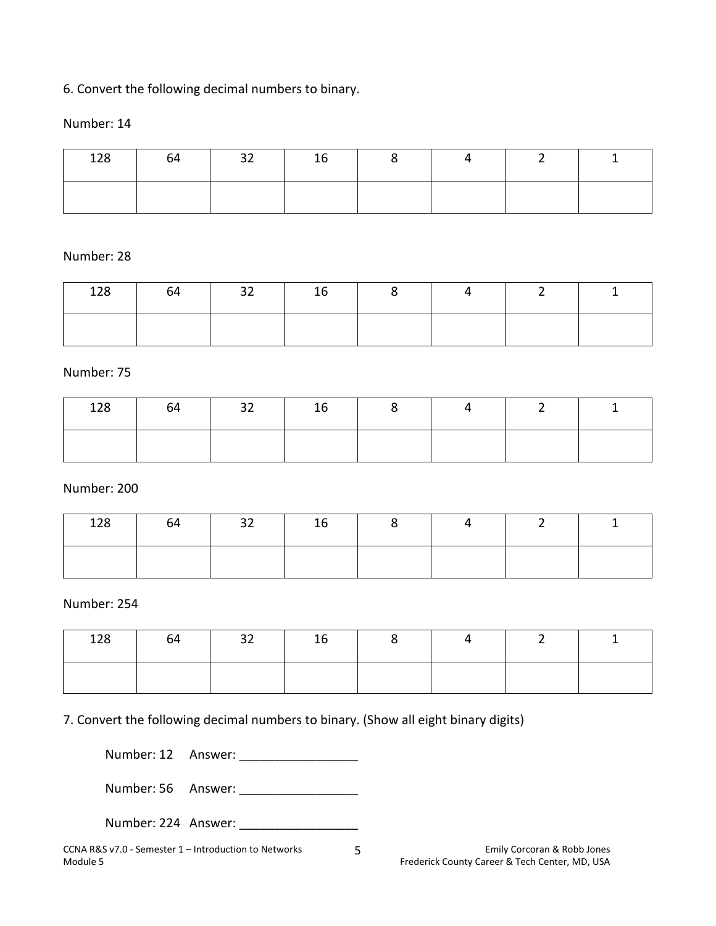### 6. Convert the following decimal numbers to binary.

#### Number: 14

| 128 | 64 | 32 | 16 |  |  |
|-----|----|----|----|--|--|
|     |    |    |    |  |  |

#### Number: 28

| 128 | 64 | 32 | 16 |  | <u>_</u> | - |
|-----|----|----|----|--|----------|---|
|     |    |    |    |  |          |   |

#### Number: 75

| 128 | 64 | 32 | 16 |  |  |
|-----|----|----|----|--|--|
|     |    |    |    |  |  |

Number: 200

| 128 | 64 | 32 | 16 |  |  |
|-----|----|----|----|--|--|
|     |    |    |    |  |  |

#### Number: 254

| 128 | 64 | 32 | 16 |  |  |
|-----|----|----|----|--|--|
|     |    |    |    |  |  |

7. Convert the following decimal numbers to binary. (Show all eight binary digits)

Number: 12 Answer: \_\_\_\_\_\_\_\_\_\_\_\_\_\_\_\_\_

Number: 56 Answer: \_\_\_\_\_\_\_\_\_\_\_\_\_\_\_\_\_\_\_

| Number: 224 Answer: |  |  |
|---------------------|--|--|
|---------------------|--|--|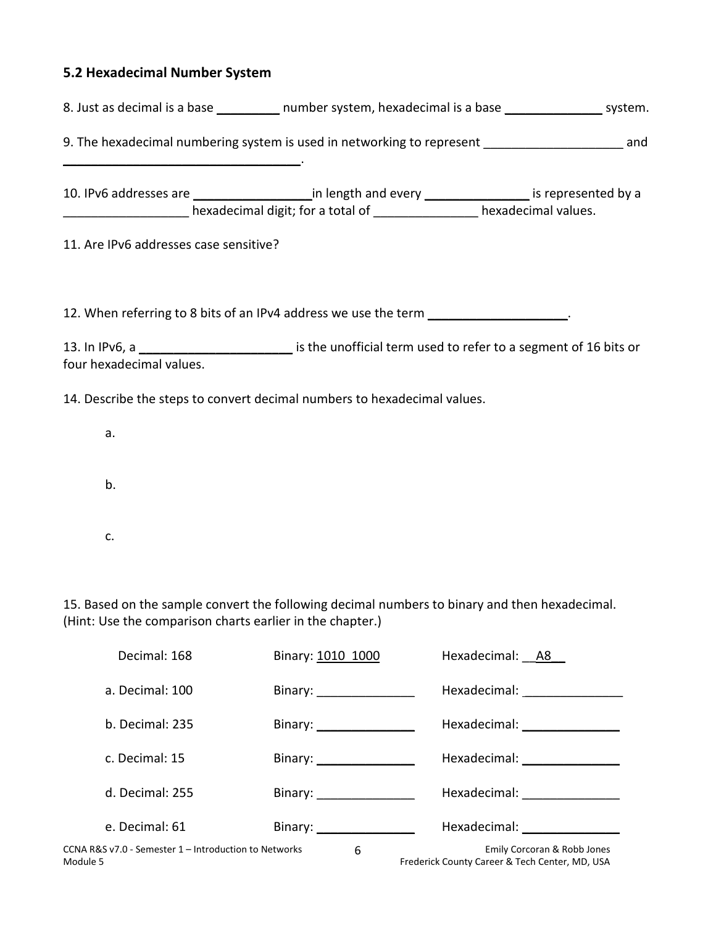## **5.2 Hexadecimal Number System**

|                                                                                                                                                            |                   | 8. Just as decimal is a base ____________ number system, hexadecimal is a base ___________________ system. |
|------------------------------------------------------------------------------------------------------------------------------------------------------------|-------------------|------------------------------------------------------------------------------------------------------------|
| <u> 1989 - Johann Stoff, amerikansk politiker († 1908)</u>                                                                                                 |                   | 9. The hexadecimal numbering system is used in networking to represent _____________________________ and   |
|                                                                                                                                                            |                   |                                                                                                            |
| 11. Are IPv6 addresses case sensitive?                                                                                                                     |                   |                                                                                                            |
| 12. When referring to 8 bits of an IPv4 address we use the term _________________                                                                          |                   |                                                                                                            |
| 13. In IPv6, a ______________________________ is the unofficial term used to refer to a segment of 16 bits or<br>four hexadecimal values.                  |                   |                                                                                                            |
| 14. Describe the steps to convert decimal numbers to hexadecimal values.                                                                                   |                   |                                                                                                            |
| a.                                                                                                                                                         |                   |                                                                                                            |
| b.                                                                                                                                                         |                   |                                                                                                            |
| c.                                                                                                                                                         |                   |                                                                                                            |
| 15. Based on the sample convert the following decimal numbers to binary and then hexadecimal.<br>(Hint: Use the comparison charts earlier in the chapter.) |                   |                                                                                                            |
| Decimal: 168                                                                                                                                               | Binary: 1010 1000 | Hexadecimal: A8                                                                                            |
| a. Decimal: 100                                                                                                                                            | Binary: 1990 1991 | Hexadecimal: 1999                                                                                          |
| b. Decimal: 235                                                                                                                                            | Binary: 1990 1991 | Hexadecimal: 1999 March 2004                                                                               |

6 c. Decimal: 15 Binary: \_\_\_\_\_\_\_\_\_\_\_\_\_\_ Hexadecimal: \_\_\_\_\_\_\_\_\_\_\_\_\_\_ d. Decimal: 255 Binary: \_\_\_\_\_\_\_\_\_\_\_\_\_\_ Hexadecimal: \_\_\_\_\_\_\_\_\_\_\_\_\_\_ e. Decimal: 61 **Binary:** \_\_\_\_\_\_\_\_\_\_\_\_\_\_\_\_\_ Hexadecimal: \_\_\_\_\_\_\_\_\_\_\_\_\_\_\_\_\_\_\_\_\_\_\_\_\_

CCNA R&S v7.0 - Semester 1 – Introduction to Networks 6<br>Module 5 Frederick County Career & Tech Center, MD, USA Frederick County Career & Tech Center, MD, USA